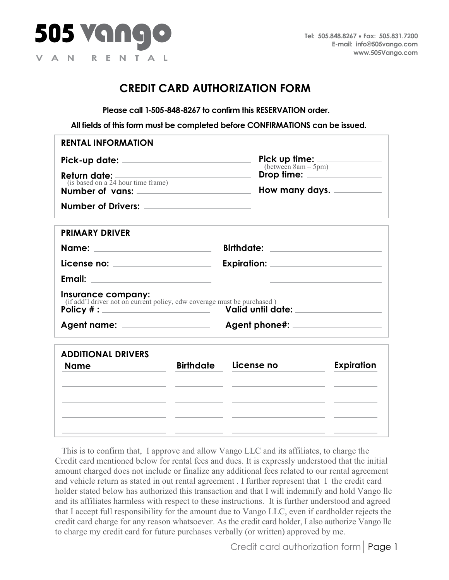

## **CREDIT CARD AUTHORIZATION FORM**

**Please call 1-505-848-8267 to confirm this RESERVATION order.**

**All fields of this form must be completed before CONFIRMATIONS can be issued.**

| <b>Pick up time:</b> $(m + 5pm)$                                                                                                                                                                                               |  |
|--------------------------------------------------------------------------------------------------------------------------------------------------------------------------------------------------------------------------------|--|
| Drop time: <u>_____________________</u><br><b>Return date:</b> <u>(is based</u> on a 24 hour time frame)                                                                                                                       |  |
| How many days. _________<br>Number of vans:                                                                                                                                                                                    |  |
|                                                                                                                                                                                                                                |  |
|                                                                                                                                                                                                                                |  |
| Birthdate: National Property of the Second Second Second Second Second Second Second Second Second Second Second Second Second Second Second Second Second Second Second Second Second Second Second Second Second Second Seco |  |
| <u>License no: ____________________</u>                                                                                                                                                                                        |  |
|                                                                                                                                                                                                                                |  |
| <b>Insurance company:</b><br>(if add'l driver not on current policy, cdw coverage must be purchased)                                                                                                                           |  |
| Agent name: _________________<br>Agent phone#: _____________________                                                                                                                                                           |  |
| <b>Expiration</b><br><b>Birthdate</b><br>License no                                                                                                                                                                            |  |
|                                                                                                                                                                                                                                |  |
|                                                                                                                                                                                                                                |  |
|                                                                                                                                                                                                                                |  |

This is to confirm that, I approve and allow Vango LLC and its affiliates, to charge the Credit card mentioned below for rental fees and dues. It is expressly understood that the initial amount charged does not include or finalize any additional fees related to our rental agreement and vehicle return as stated in out rental agreement . I further represent that I the credit card holder stated below has authorized this transaction and that I will indemnify and hold Vango llc and its affiliates harmless with respect to these instructions. It is further understood and agreed that I accept full responsibility for the amount due to Vango LLC, even if cardholder rejects the credit card charge for any reason whatsoever. As the credit card holder, I also authorize Vango llc to charge my credit card for future purchases verbally (or written) approved by me.